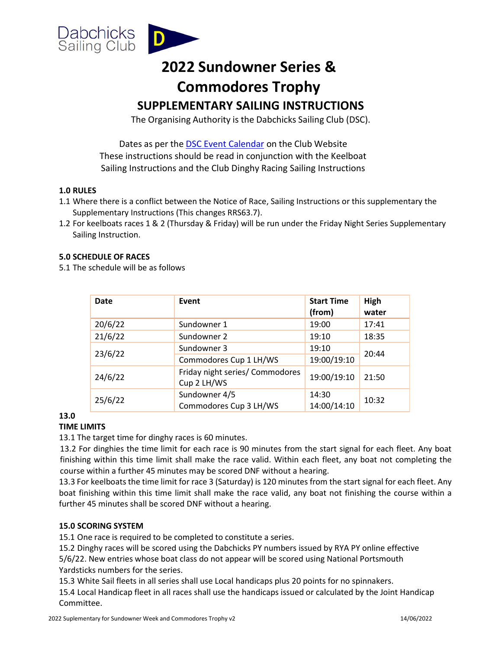

# **2022 Sundowner Series & Commodores Trophy**

## **SUPPLEMENTARY SAILING INSTRUCTIONS**

The Organising Authority is the Dabchicks Sailing Club (DSC).

Dates as per the **DSC [Event Calendar](https://dabchicks.org/calendar/)** on the Club Website These instructions should be read in conjunction with the Keelboat Sailing Instructions and the Club Dinghy Racing Sailing Instructions

#### **1.0 RULES**

- 1.1 Where there is a conflict between the Notice of Race, Sailing Instructions or this supplementary the Supplementary Instructions (This changes RRS63.7).
- 1.2 For keelboats races 1 & 2 (Thursday & Friday) will be run under the Friday Night Series Supplementary Sailing Instruction.

#### **5.0 SCHEDULE OF RACES**

5.1 The schedule will be as follows

| <b>Date</b> | Event                                          | <b>Start Time</b><br>(from) | High<br>water |
|-------------|------------------------------------------------|-----------------------------|---------------|
| 20/6/22     | Sundowner 1                                    | 19:00                       | 17:41         |
| 21/6/22     | Sundowner 2                                    | 19:10                       | 18:35         |
| 23/6/22     | Sundowner 3                                    | 19:10                       | 20:44         |
|             | Commodores Cup 1 LH/WS                         | 19:00/19:10                 |               |
| 24/6/22     | Friday night series/ Commodores<br>Cup 2 LH/WS | 19:00/19:10                 | 21:50         |
| 25/6/22     | Sundowner 4/5<br>Commodores Cup 3 LH/WS        | 14:30<br>14:00/14:10        | 10:32         |

### **13.0**

#### **TIME LIMITS**

13.1 The target time for dinghy races is 60 minutes.

13.2 For dinghies the time limit for each race is 90 minutes from the start signal for each fleet. Any boat finishing within this time limit shall make the race valid. Within each fleet, any boat not completing the course within a further 45 minutes may be scored DNF without a hearing.

13.3 For keelboats the time limit for race 3 (Saturday) is 120 minutes from the start signal for each fleet. Any boat finishing within this time limit shall make the race valid, any boat not finishing the course within a further 45 minutes shall be scored DNF without a hearing.

#### **15.0 SCORING SYSTEM**

15.1 One race is required to be completed to constitute a series.

15.2 Dinghy races will be scored using the Dabchicks PY numbers issued by RYA PY online effective 5/6/22. New entries whose boat class do not appear will be scored using National Portsmouth Yardsticks numbers for the series.

15.3 White Sail fleets in all series shall use Local handicaps plus 20 points for no spinnakers.

15.4 Local Handicap fleet in all races shall use the handicaps issued or calculated by the Joint Handicap Committee.